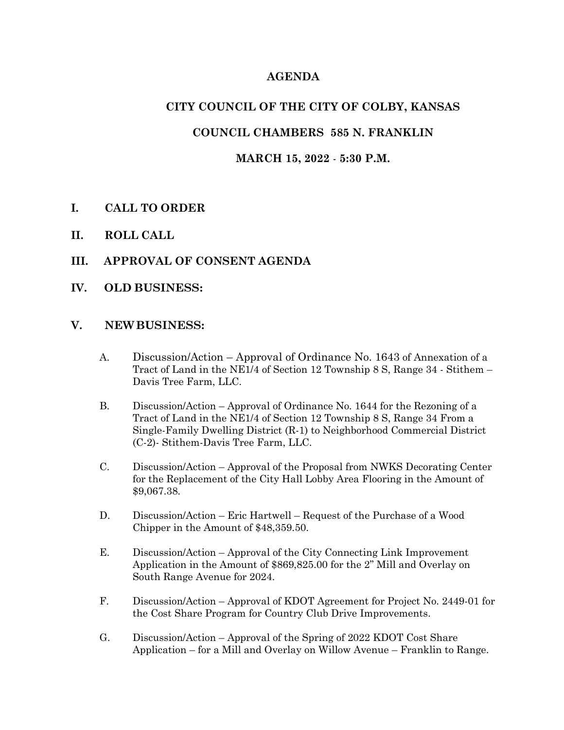## **AGENDA**

## **CITY COUNCIL OF THE CITY OF COLBY, KANSAS**

## **COUNCIL CHAMBERS 585 N. FRANKLIN**

#### **MARCH 15, 2022** - **5:30 P.M.**

- **I. CALL TO ORDER**
- **II. ROLL CALL**
- **III. APPROVAL OF CONSENT AGENDA**
- **IV. OLD BUSINESS:**

#### **V. NEWBUSINESS:**

- A. Discussion/Action Approval of Ordinance No. 1643 of Annexation of a Tract of Land in the NE1/4 of Section 12 Township 8 S, Range 34 - Stithem – Davis Tree Farm, LLC.
- B. Discussion/Action Approval of Ordinance No. 1644 for the Rezoning of a Tract of Land in the NE1/4 of Section 12 Township 8 S, Range 34 From a Single-Family Dwelling District (R-1) to Neighborhood Commercial District (C-2)- Stithem-Davis Tree Farm, LLC.
- C. Discussion/Action Approval of the Proposal from NWKS Decorating Center for the Replacement of the City Hall Lobby Area Flooring in the Amount of \$9,067.38.
- D. Discussion/Action Eric Hartwell Request of the Purchase of a Wood Chipper in the Amount of \$48,359.50.
- E. Discussion/Action Approval of the City Connecting Link Improvement Application in the Amount of \$869,825.00 for the 2" Mill and Overlay on South Range Avenue for 2024.
- F. Discussion/Action Approval of KDOT Agreement for Project No. 2449-01 for the Cost Share Program for Country Club Drive Improvements.
- G. Discussion/Action Approval of the Spring of 2022 KDOT Cost Share Application – for a Mill and Overlay on Willow Avenue – Franklin to Range.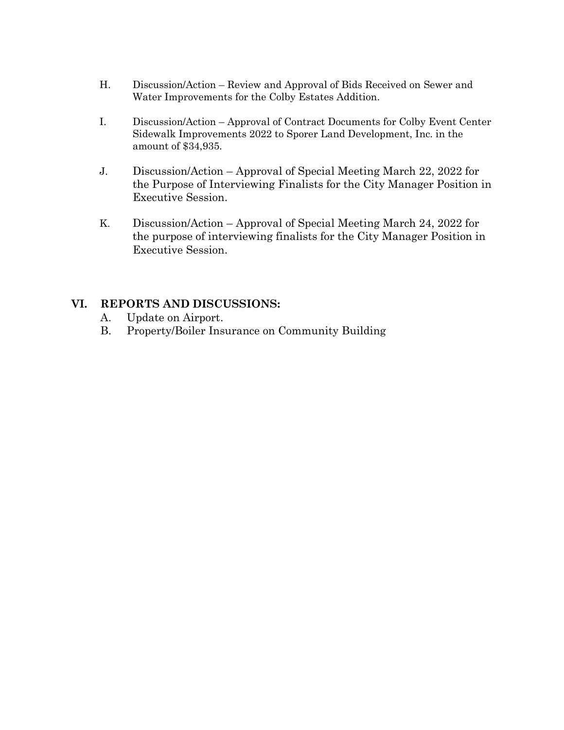- H. Discussion/Action Review and Approval of Bids Received on Sewer and Water Improvements for the Colby Estates Addition.
- I. Discussion/Action Approval of Contract Documents for Colby Event Center Sidewalk Improvements 2022 to Sporer Land Development, Inc. in the amount of \$34,935.
- J. Discussion/Action Approval of Special Meeting March 22, 2022 for the Purpose of Interviewing Finalists for the City Manager Position in Executive Session.
- K. Discussion/Action Approval of Special Meeting March 24, 2022 for the purpose of interviewing finalists for the City Manager Position in Executive Session.

## **VI. REPORTS AND DISCUSSIONS:**

- A. Update on Airport.
- B. Property/Boiler Insurance on Community Building